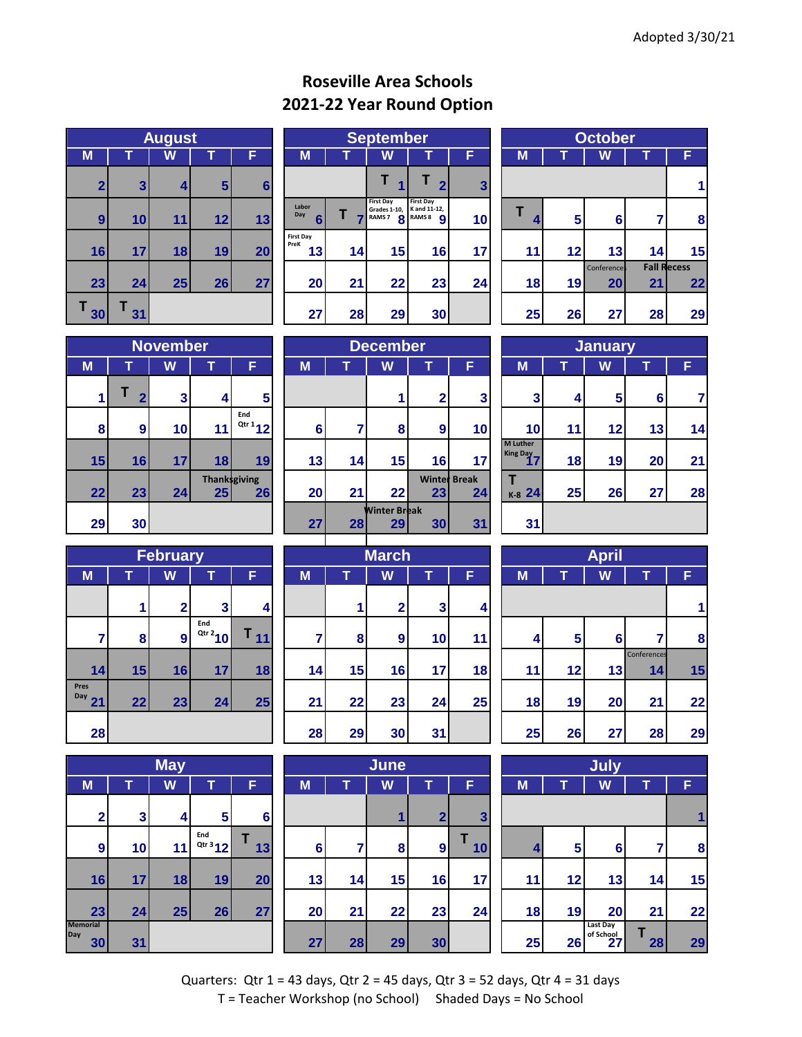## **Roseville Area Schools 2021-22 Year Round Option**

|                | <b>August</b> |    |    |    |  |  |  |  |  |  |  |  |  |
|----------------|---------------|----|----|----|--|--|--|--|--|--|--|--|--|
| M              |               | W  |    | F  |  |  |  |  |  |  |  |  |  |
| $\overline{2}$ | 3             | 4  | 5  | 6  |  |  |  |  |  |  |  |  |  |
| 9              | 10            | 11 | 12 | 13 |  |  |  |  |  |  |  |  |  |
| 16             | 17            | 18 | 19 | 20 |  |  |  |  |  |  |  |  |  |
| 23             | 24            | 25 | 26 | 27 |  |  |  |  |  |  |  |  |  |
| Τ<br>30        | 31            |    |    |    |  |  |  |  |  |  |  |  |  |

|              | <b>August</b>   |    |                |                 |                         | <b>September</b> |                                                               |                                              |              |  | <b>October</b> |                 |                    |    |                    |
|--------------|-----------------|----|----------------|-----------------|-------------------------|------------------|---------------------------------------------------------------|----------------------------------------------|--------------|--|----------------|-----------------|--------------------|----|--------------------|
| M            |                 | W  |                | F               | M                       | W<br>F           |                                                               |                                              |              |  | M              |                 | W                  |    | F                  |
| $\mathbf{2}$ | $\mathbf{3}$    |    | 5 <sup>1</sup> | 6               |                         |                  |                                                               |                                              | $\mathbf{3}$ |  |                |                 |                    |    |                    |
| 9            | 10 <sub>l</sub> | 11 | 12             | 13              | Labor<br>Day<br>6       |                  | <b>First Day</b><br>Grades 1-10, K and 11-12,<br><b>RAMS7</b> | <b>First Day</b><br>8 RAMS 8<br>$\mathbf{o}$ | 10           |  | 4              | 5               | $6 \mid$           |    | 8                  |
| 16           | 17              | 18 | 19             | 20 <sub>l</sub> | First Day<br>PreK<br>13 | 14               | 15                                                            | 16                                           | 17           |  | 11             | 12              | 13                 | 14 | 15                 |
|              |                 |    |                |                 |                         |                  |                                                               |                                              |              |  |                |                 | <b>Conferences</b> |    | <b>Fall Recess</b> |
| 23           | 24              | 25 | 26             | 27              | <b>20</b>               | 21               | 22                                                            | 23                                           | 24           |  | 18             | 19 <sup>l</sup> | 20                 | 21 | 22                 |
| 30           | 31              |    |                |                 | 27                      | 28               | 29                                                            | 30 <sub>l</sub>                              |              |  | 25             | 26              | 27                 | 28 | 29                 |

|        | <b>October</b> |             |    |                    |  |  |  |  |  |  |  |  |  |  |
|--------|----------------|-------------|----|--------------------|--|--|--|--|--|--|--|--|--|--|
| M      |                | W           |    |                    |  |  |  |  |  |  |  |  |  |  |
|        |                |             |    |                    |  |  |  |  |  |  |  |  |  |  |
| т<br>4 | 5              | 6           | 7  | 8                  |  |  |  |  |  |  |  |  |  |  |
| 11     | 12             | 13          | 14 | 15                 |  |  |  |  |  |  |  |  |  |  |
|        |                | Conference: |    | <b>Fall Recess</b> |  |  |  |  |  |  |  |  |  |  |
| 18     | 19             | 20          | 21 | 22                 |  |  |  |  |  |  |  |  |  |  |
| 25     | 26             | 27          | 28 | 29                 |  |  |  |  |  |  |  |  |  |  |

|    | <b>November</b>  |    |                            |                   |  |  |  |  |  |  |  |  |  |
|----|------------------|----|----------------------------|-------------------|--|--|--|--|--|--|--|--|--|
| M  | W<br>т<br>F<br>ı |    |                            |                   |  |  |  |  |  |  |  |  |  |
| 1  | $\overline{2}$   | 3  | 4                          | 5                 |  |  |  |  |  |  |  |  |  |
| 8  | 9                | 10 | 11                         | End<br>$Qtr 1$ 12 |  |  |  |  |  |  |  |  |  |
| 15 | 16               | 17 | 18                         | 19                |  |  |  |  |  |  |  |  |  |
| 22 | 23               | 24 | <b>Thank</b> sgiving<br>25 | 26                |  |  |  |  |  |  |  |  |  |
| 29 | 30               |    |                            |                   |  |  |  |  |  |  |  |  |  |

|    | <b>November</b>  |                 |    |                              | <b>December</b> |                 |                           |                 |                           |  | <b>January</b>              |    |                 |                |    |
|----|------------------|-----------------|----|------------------------------|-----------------|-----------------|---------------------------|-----------------|---------------------------|--|-----------------------------|----|-----------------|----------------|----|
| M  |                  | W               |    | F                            | M               |                 | W                         |                 | F,                        |  | M                           |    | W               |                | F  |
|    | ≏                | 3 <sub>l</sub>  | 4  | 5 <sup>5</sup>               |                 |                 |                           | ◠               | 3                         |  | 3                           | 4  | $5\phantom{.0}$ | 6 <sub>1</sub> |    |
| 8  | $\boldsymbol{9}$ | 10 <sub>l</sub> | 11 | End<br>$Qtr 1$ <sub>12</sub> | 6               |                 | 8                         | 9               | 10                        |  | 10                          | 11 | 12              | 13             | 14 |
| 15 | 16               | 17 <sub>l</sub> | 18 | 19                           | 13              | 14 <sub>1</sub> | 15                        | 16              | 17                        |  | <b>M</b> Luther<br>King Day | 18 | 19              | 20             | 21 |
| 22 | 23               | 24              | 25 | <b>Thanksgiving</b><br>26    | 20              | 21              | 22                        | 23              | <b>Winter Break</b><br>24 |  | K-8 24                      | 25 | 26              | 27             | 28 |
| 29 | 30               |                 |    |                              | 27 <sub>l</sub> | 28              | <b>Winter Break</b><br>29 | 30 <sup>°</sup> | 31                        |  | 31                          |    |                 |                |    |

| <b>January</b>              |                  |    |    |    |  |  |  |  |  |  |  |  |  |
|-----------------------------|------------------|----|----|----|--|--|--|--|--|--|--|--|--|
| M                           | W<br>Ŷ<br>т<br>F |    |    |    |  |  |  |  |  |  |  |  |  |
| 3                           | 4                | 5  | 6  | 7  |  |  |  |  |  |  |  |  |  |
| 10                          | 11               | 12 | 13 | 14 |  |  |  |  |  |  |  |  |  |
| <b>M</b> Luther<br>King Day | 18               | 19 | 20 | 21 |  |  |  |  |  |  |  |  |  |
| K-8 24                      | 25               | 26 | 27 | 28 |  |  |  |  |  |  |  |  |  |
| 31                          |                  |    |    |    |  |  |  |  |  |  |  |  |  |

| <b>February</b>          |    |              |                   |    |  |  |  |  |  |  |  |  |  |  |
|--------------------------|----|--------------|-------------------|----|--|--|--|--|--|--|--|--|--|--|
| M                        | T  | W<br>т<br>F  |                   |    |  |  |  |  |  |  |  |  |  |  |
|                          |    | $\mathbf{2}$ | 3                 | 4  |  |  |  |  |  |  |  |  |  |  |
| 7                        | 8  | 9            | End<br>$Qtr 2$ 10 |    |  |  |  |  |  |  |  |  |  |  |
| 14                       | 15 | 16           | 17                | 18 |  |  |  |  |  |  |  |  |  |  |
| <b>Pres</b><br>Day<br>21 | 22 | 23           | 24                | 25 |  |  |  |  |  |  |  |  |  |  |
| 28                       |    |              |                   |    |  |  |  |  |  |  |  |  |  |  |

|                              | <b>May</b> |    |                  |         |  |  |  |  |  |  |  |  |  |
|------------------------------|------------|----|------------------|---------|--|--|--|--|--|--|--|--|--|
| M                            | т          | W  | т                | F       |  |  |  |  |  |  |  |  |  |
| $\overline{\mathbf{2}}$      | 3          | 4  | 5                | 6       |  |  |  |  |  |  |  |  |  |
| 9                            | 10         | 11 | End<br>Qtr 3 1 2 | Τ<br>13 |  |  |  |  |  |  |  |  |  |
| 16                           | 17         | 18 | 19               | 20      |  |  |  |  |  |  |  |  |  |
| 23                           | 24         | 25 | 26               | 27      |  |  |  |  |  |  |  |  |  |
| <b>Memorial</b><br>Day<br>30 | 31         |    |                  |         |  |  |  |  |  |  |  |  |  |

|                            |    | <b>February</b> |                                   |                 |    |                            | <b>March</b>     |              |                | <b>April</b> |    |          |                   |  |  |
|----------------------------|----|-----------------|-----------------------------------|-----------------|----|----------------------------|------------------|--------------|----------------|--------------|----|----------|-------------------|--|--|
| M                          |    | W               |                                   | F               | M  | W<br>F<br>M<br>W<br>T<br>ı |                  |              |                |              |    |          |                   |  |  |
|                            |    | 2 <sub>1</sub>  | 3 <sub>l</sub>                    | 4               |    |                            | $\overline{2}$   | $\mathbf{3}$ | $\overline{4}$ |              |    |          |                   |  |  |
| 7                          | 8  | 9               | End<br>$\frac{Q \text{tr}^2}{10}$ | T <sub>11</sub> |    | 8                          | $\boldsymbol{9}$ | 10           | 11             | 4            | 5  | $6 \mid$ |                   |  |  |
| 14                         | 15 | 16              | 17                                | 18              | 14 | 15                         | 16               | 17           | 18             | 11           | 12 | 13       | Conferences<br>14 |  |  |
| es<br>$^{\prime\prime}$ 21 | 22 | 23              | 24                                | 25              | 21 | 22                         | 23               | 24           | 25             | 18           | 19 | 20       | 21                |  |  |
| 28                         |    |                 |                                   |                 | 28 | 29                         | 30               | 31           |                | 25           | 26 | 27       | 28                |  |  |

|                  |              | <b>May</b> |                |        | June           |        |    |                 |                         |   | July |    |                             |    |    |
|------------------|--------------|------------|----------------|--------|----------------|--------|----|-----------------|-------------------------|---|------|----|-----------------------------|----|----|
| M                |              | W          |                | F      | M              | W<br>F |    |                 |                         | M |      |    | W                           |    | F  |
| $\overline{2}$   | $\mathbf{3}$ | 41         | 5 <sup>1</sup> | $6 \,$ |                |        |    | $\mathbf{2}$    | $\overline{\mathbf{3}}$ |   |      |    |                             |    |    |
| $\boldsymbol{9}$ | 10           | 11         | End<br>Qtr 312 | 13     | $6\phantom{a}$ | 7      | 8  | $\overline{9}$  | 10                      |   | 4    | 5  | $6 \,$                      | 7  | 8  |
| 16               | 17           | 18         | 19             | 20     | 13             | 14     | 15 | 16              | 17                      |   | 11   | 12 | 13                          | 14 | 15 |
| 23               | 24           | 25         | 26             | 27     | 20             | 21     | 22 | 23              | 24                      |   | 18   | 19 | 20                          | 21 | 22 |
| norial<br>30     | 31           |            |                |        | 27             | 28     | 29 | 30 <sub>1</sub> |                         |   | 25   | 26 | Last Day<br>of School<br>27 | 28 | 29 |

|                |    | February       |                                   |         |    |    | <b>March</b> |    |    |    | <b>April</b> |    |                   |    |  |
|----------------|----|----------------|-----------------------------------|---------|----|----|--------------|----|----|----|--------------|----|-------------------|----|--|
|                |    | W              |                                   | F       | M  |    | W            |    | F  | M  | W            |    |                   |    |  |
|                |    | ົ              | 3 <sub>l</sub>                    | $\vert$ |    |    | $\mathbf 2$  | 3  | 4  |    |              |    |                   |    |  |
| $\overline{7}$ | 8  | $\overline{9}$ | End<br>$\frac{Q \text{tr}^2}{10}$ | 11      | ⇁  | 8  | 9            | 10 | 11 | 4  | 5            | 6  |                   | 8  |  |
| 14             | 15 | 16             | 17                                | 18      | 14 | 15 | 16           | 17 | 18 | 11 | 12           | 13 | Conferences<br>14 | 15 |  |
| 21             | 22 | 23             | 24                                | 25      | 21 | 22 | 23           | 24 | 25 | 18 | 19           | 20 | 21                | 22 |  |
| 28             |    |                |                                   |         | 28 | 29 | 30           | 31 |    | 25 | 26           | 27 | 28                | 29 |  |

|    | July |                             |    |    |  |  |  |  |  |  |  |  |  |
|----|------|-----------------------------|----|----|--|--|--|--|--|--|--|--|--|
| M  | т    | W                           | Т  | F  |  |  |  |  |  |  |  |  |  |
|    |      |                             |    |    |  |  |  |  |  |  |  |  |  |
| 4  | 5    | 6                           | 7  | 8  |  |  |  |  |  |  |  |  |  |
| 11 | 12   | 13                          | 14 | 15 |  |  |  |  |  |  |  |  |  |
| 18 | 19   | 20                          | 21 | 22 |  |  |  |  |  |  |  |  |  |
| 25 | 26   | Last Day<br>of School<br>27 | 28 | 29 |  |  |  |  |  |  |  |  |  |

Quarters: Qtr 1 = 43 days, Qtr 2 = 45 days, Qtr 3 = 52 days, Qtr 4 = 31 days T = Teacher Workshop (no School) Shaded Days = No School